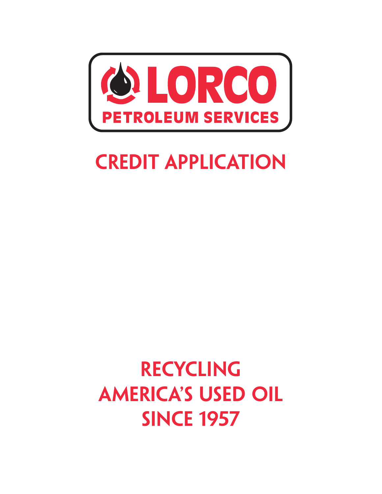

## **Credit Application**

## **recyclingamerica's used oil since 1957**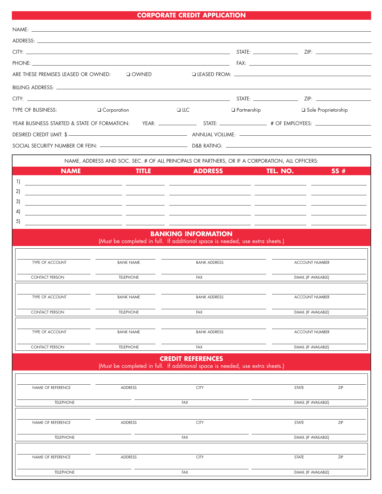## **CORPORATE CREDIT APPLICATION**

| are these premises leased Or OWNED:                                                                                        | $\Box$ OWNED     |                                                                                                   |                                                                                                                                             |                       |  |
|----------------------------------------------------------------------------------------------------------------------------|------------------|---------------------------------------------------------------------------------------------------|---------------------------------------------------------------------------------------------------------------------------------------------|-----------------------|--|
|                                                                                                                            |                  |                                                                                                   |                                                                                                                                             |                       |  |
|                                                                                                                            |                  |                                                                                                   |                                                                                                                                             |                       |  |
| <b>TYPE OF BUSINESS:</b>                                                                                                   | Q Corporation    | $\Box$ LLC                                                                                        | $\Box$ Partnership                                                                                                                          | Sole Proprietorship   |  |
|                                                                                                                            |                  |                                                                                                   |                                                                                                                                             |                       |  |
|                                                                                                                            |                  |                                                                                                   |                                                                                                                                             |                       |  |
|                                                                                                                            |                  |                                                                                                   |                                                                                                                                             |                       |  |
| NAME, ADDRESS AND SOC. SEC. # OF ALL PRINCIPALS OR PARTNERS, OR IF A CORPORATION, ALL OFFICERS:                            |                  |                                                                                                   |                                                                                                                                             |                       |  |
| <b>NAME</b>                                                                                                                | <b>TITLE</b>     | <b>ADDRESS</b><br><u> Liga di Tan</u>                                                             | TEL. NO.<br>$\mathcal{L}^{\text{max}}_{\text{max}}$ and $\mathcal{L}^{\text{max}}_{\text{max}}$ and $\mathcal{L}^{\text{max}}_{\text{max}}$ | SS#                   |  |
| 1)                                                                                                                         |                  |                                                                                                   |                                                                                                                                             |                       |  |
| 2)                                                                                                                         |                  |                                                                                                   |                                                                                                                                             |                       |  |
| 3)                                                                                                                         |                  | <u> 1999 - Jacques Maria (m. 1989).</u><br>1900 - Johann Barn, frans francouzski fizik (m. 1900). |                                                                                                                                             |                       |  |
| 4)                                                                                                                         |                  | <u> 1989 - Andrea San Andrea Andrea (b. 1989)</u>                                                 |                                                                                                                                             |                       |  |
| 5)<br><u> 1989 - Jan Barbara Barbara, manazarta da kasas da shekara 1989 - André a Santa Barbara a Santa Barbara a San</u> |                  |                                                                                                   |                                                                                                                                             |                       |  |
| <b>BANKING INFORMATION</b><br>(Must be completed in full. If additional space is needed, use extra sheets.)                |                  |                                                                                                   |                                                                                                                                             |                       |  |
|                                                                                                                            |                  |                                                                                                   |                                                                                                                                             |                       |  |
| TYPE OF ACCOUNT                                                                                                            | <b>BANK NAME</b> | <b>BANK ADDRESS</b>                                                                               |                                                                                                                                             | <b>ACCOUNT NUMBER</b> |  |
| <b>CONTACT PERSON</b>                                                                                                      | <b>TELEPHONE</b> | <b>FAX</b>                                                                                        |                                                                                                                                             | EMAIL (IF AVAILABLE)  |  |
|                                                                                                                            |                  |                                                                                                   |                                                                                                                                             |                       |  |
| TYPE OF ACCOUNT                                                                                                            | <b>BANK NAME</b> | <b>BANK ADDRESS</b>                                                                               |                                                                                                                                             | <b>ACCOUNT NUMBER</b> |  |
| <b>CONTACT PERSON</b>                                                                                                      | <b>TELEPHONE</b> | FAX                                                                                               |                                                                                                                                             | EMAIL (IF AVAILABLE)  |  |
|                                                                                                                            |                  |                                                                                                   |                                                                                                                                             |                       |  |
| TYPE OF ACCOUNT                                                                                                            | <b>BANK NAME</b> | <b>BANK ADDRESS</b>                                                                               |                                                                                                                                             | <b>ACCOUNT NUMBER</b> |  |
| <b>CONTACT PERSON</b>                                                                                                      | <b>TELEPHONE</b> | FAX                                                                                               |                                                                                                                                             | EMAIL (IF AVAILABLE)  |  |
|                                                                                                                            |                  | <b>CREDIT REFERENCES</b>                                                                          |                                                                                                                                             |                       |  |
| (Must be completed in full. If additional space is needed, use extra sheets.)                                              |                  |                                                                                                   |                                                                                                                                             |                       |  |
|                                                                                                                            |                  |                                                                                                   |                                                                                                                                             |                       |  |
| NAME OF REFERENCE                                                                                                          | ADDRESS          | <b>CITY</b>                                                                                       |                                                                                                                                             | <b>STATE</b><br>ZIP   |  |
| <b>TELEPHONE</b>                                                                                                           |                  | FAX                                                                                               |                                                                                                                                             | EMAIL (IF AVAILABLE)  |  |
|                                                                                                                            |                  |                                                                                                   |                                                                                                                                             |                       |  |
| NAME OF REFERENCE                                                                                                          | ADDRESS          | <b>CITY</b>                                                                                       |                                                                                                                                             | <b>STATE</b><br>ZIP   |  |
| <b>TELEPHONE</b>                                                                                                           |                  | FAX                                                                                               |                                                                                                                                             | EMAIL (IF AVAILABLE)  |  |
|                                                                                                                            |                  |                                                                                                   |                                                                                                                                             |                       |  |
| NAME OF REFERENCE                                                                                                          | ADDRESS          | <b>CITY</b>                                                                                       |                                                                                                                                             | ZIP<br><b>STATE</b>   |  |
| <b>TELEPHONE</b>                                                                                                           |                  | FAX                                                                                               |                                                                                                                                             | EMAIL (IF AVAILABLE)  |  |